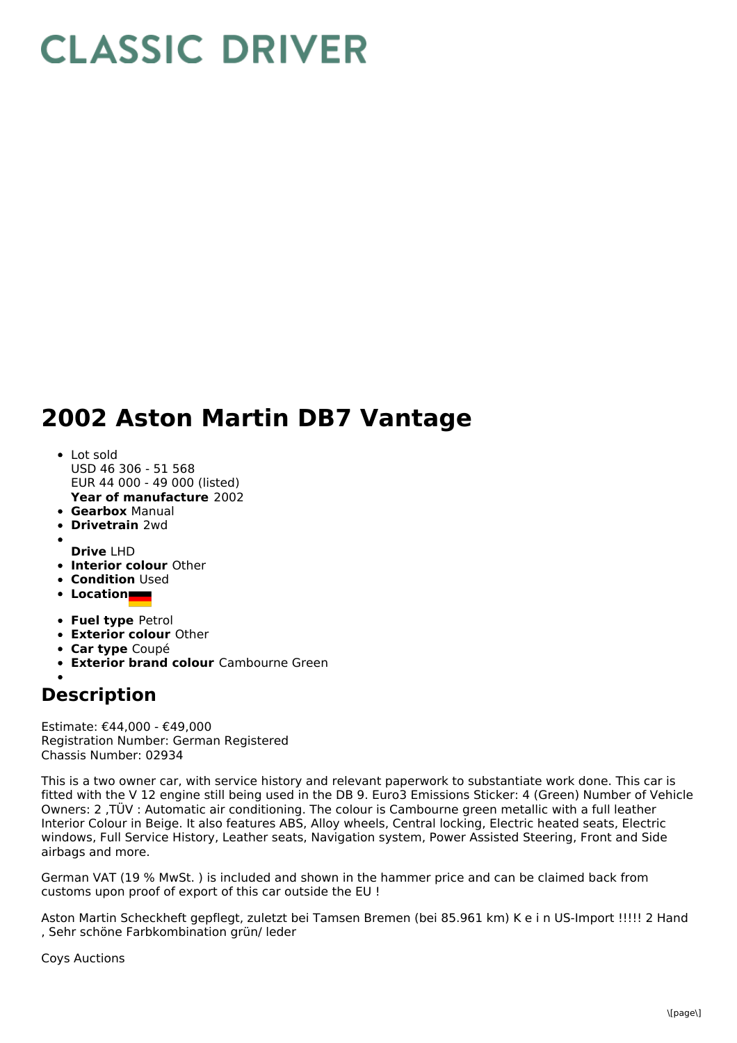## **CLASSIC DRIVER**

## **2002 Aston Martin DB7 Vantage**

- **Year of manufacture** 2002 • Lot sold USD 46 306 - 51 568 EUR 44 000 - 49 000 (listed)
- **Gearbox** Manual
- **Drivetrain** 2wd
- **Drive** LHD
- **Interior colour** Other
- **Condition** Used
- **Location**
- **Fuel type** Petrol
- **Exterior colour** Other
- **Car type** Coupé
- **Exterior brand colour** Cambourne Green

## **Description**

Estimate: €44,000 - €49,000 Registration Number: German Registered Chassis Number: 02934

This is a two owner car, with service history and relevant paperwork to substantiate work done. This car is fitted with the V 12 engine still being used in the DB 9. Euro3 Emissions Sticker: 4 (Green) Number of Vehicle Owners: 2 ,TÜV : Automatic air conditioning. The colour is Cambourne green metallic with a full leather Interior Colour in Beige. It also features ABS, Alloy wheels, Central locking, Electric heated seats, Electric windows, Full Service History, Leather seats, Navigation system, Power Assisted Steering, Front and Side airbags and more.

German VAT (19 % MwSt. ) is included and shown in the hammer price and can be claimed back from customs upon proof of export of this car outside the EU !

Aston Martin Scheckheft gepflegt, zuletzt bei Tamsen Bremen (bei 85.961 km) K e i n US-Import !!!!! 2 Hand , Sehr schöne Farbkombination grün/ leder

Coys Auctions